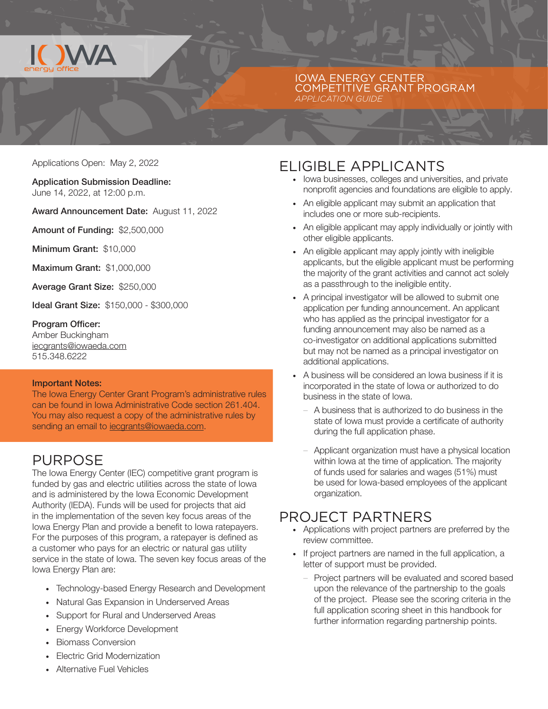

#### IOWA ENERGY CENTER COMPETITIVE GRANT PROGRAM *APPLICATION GUIDE*

Applications Open: May 2, 2022

Application Submission Deadline: June 14, 2022, at 12:00 p.m.

Award Announcement Date: August 11, 2022

Amount of Funding: \$2,500,000

Minimum Grant: \$10,000

Maximum Grant: \$1,000,000

Average Grant Size: \$250,000

Ideal Grant Size: \$150,000 - \$300,000

Program Officer: Amber Buckingham iecgrants@iowaeda.com 515.348.6222

#### Important Notes:

The Iowa Energy Center Grant Program's administrative rules can be found in Iowa Administrative Code section 261.404. You may also request a copy of the administrative rules by sending an email to **iecgrants@iowaeda.com**.

#### PURPOSE

The Iowa Energy Center (IEC) competitive grant program is funded by gas and electric utilities across the state of Iowa and is administered by the Iowa Economic Development Authority (IEDA). Funds will be used for projects that aid in the implementation of the seven key focus areas of the Iowa Energy Plan and provide a benefit to Iowa ratepayers. For the purposes of this program, a ratepayer is defined as a customer who pays for an electric or natural gas utility service in the state of Iowa. The seven key focus areas of the Iowa Energy Plan are:

- · Technology-based Energy Research and Development
- · Natural Gas Expansion in Underserved Areas
- · Support for Rural and Underserved Areas
- · Energy Workforce Development
- · Biomass Conversion
- · Electric Grid Modernization
- · Alternative Fuel Vehicles

## ELIGIBLE APPLICANTS

- · Iowa businesses, colleges and universities, and private nonprofit agencies and foundations are eligible to apply.
- · An eligible applicant may submit an application that includes one or more sub-recipients.
- · An eligible applicant may apply individually or jointly with other eligible applicants.
- · An eligible applicant may apply jointly with ineligible applicants, but the eligible applicant must be performing the majority of the grant activities and cannot act solely as a passthrough to the ineligible entity.
- · A principal investigator will be allowed to submit one application per funding announcement. An applicant who has applied as the principal investigator for a funding announcement may also be named as a co-investigator on additional applications submitted but may not be named as a principal investigator on additional applications.
- · A business will be considered an Iowa business if it is incorporated in the state of Iowa or authorized to do business in the state of Iowa.
	- A business that is authorized to do business in the state of Iowa must provide a certificate of authority during the full application phase.
	- Applicant organization must have a physical location within Iowa at the time of application. The majority of funds used for salaries and wages (51%) must be used for Iowa-based employees of the applicant organization.

#### PROJECT PARTNERS

- · Applications with project partners are preferred by the review committee.
- · If project partners are named in the full application, a letter of support must be provided.
	- Project partners will be evaluated and scored based upon the relevance of the partnership to the goals of the project. Please see the scoring criteria in the full application scoring sheet in this handbook for further information regarding partnership points.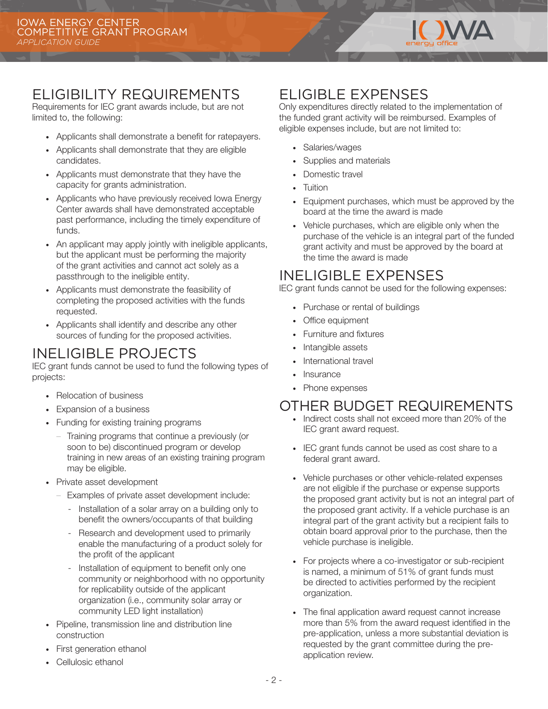

## ELIGIBILITY REQUIREMENTS

Requirements for IEC grant awards include, but are not limited to, the following:

- · Applicants shall demonstrate a benefit for ratepayers.
- · Applicants shall demonstrate that they are eligible candidates.
- · Applicants must demonstrate that they have the capacity for grants administration.
- · Applicants who have previously received Iowa Energy Center awards shall have demonstrated acceptable past performance, including the timely expenditure of funds.
- · An applicant may apply jointly with ineligible applicants, but the applicant must be performing the majority of the grant activities and cannot act solely as a passthrough to the ineligible entity.
- · Applicants must demonstrate the feasibility of completing the proposed activities with the funds requested.
- · Applicants shall identify and describe any other sources of funding for the proposed activities.

# INELIGIBLE PROJECTS

IEC grant funds cannot be used to fund the following types of projects:

- · Relocation of business
- · Expansion of a business
- · Funding for existing training programs
	- Training programs that continue a previously (or soon to be) discontinued program or develop training in new areas of an existing training program may be eligible.
- · Private asset development
	- Examples of private asset development include:
		- Installation of a solar array on a building only to benefit the owners/occupants of that building
		- Research and development used to primarily enable the manufacturing of a product solely for the profit of the applicant
		- Installation of equipment to benefit only one community or neighborhood with no opportunity for replicability outside of the applicant organization (i.e., community solar array or community LED light installation)
- · Pipeline, transmission line and distribution line construction
- · First generation ethanol
- · Cellulosic ethanol

## ELIGIBLE EXPENSES

Only expenditures directly related to the implementation of the funded grant activity will be reimbursed. Examples of eligible expenses include, but are not limited to:

- · Salaries/wages
- Supplies and materials
- Domestic travel
- · Tuition
- · Equipment purchases, which must be approved by the board at the time the award is made
- · Vehicle purchases, which are eligible only when the purchase of the vehicle is an integral part of the funded grant activity and must be approved by the board at the time the award is made

## INELIGIBLE EXPENSES

IEC grant funds cannot be used for the following expenses:

- · Purchase or rental of buildings
- · Office equipment
- · Furniture and fixtures
- · Intangible assets
- · International travel
- **Insurance**
- · Phone expenses

### OTHER BUDGET REQUIREMENTS

- · Indirect costs shall not exceed more than 20% of the IEC grant award request.
- · IEC grant funds cannot be used as cost share to a federal grant award.
- · Vehicle purchases or other vehicle-related expenses are not eligible if the purchase or expense supports the proposed grant activity but is not an integral part of the proposed grant activity. If a vehicle purchase is an integral part of the grant activity but a recipient fails to obtain board approval prior to the purchase, then the vehicle purchase is ineligible.
- · For projects where a co-investigator or sub-recipient is named, a minimum of 51% of grant funds must be directed to activities performed by the recipient organization.
- · The final application award request cannot increase more than 5% from the award request identified in the pre-application, unless a more substantial deviation is requested by the grant committee during the preapplication review.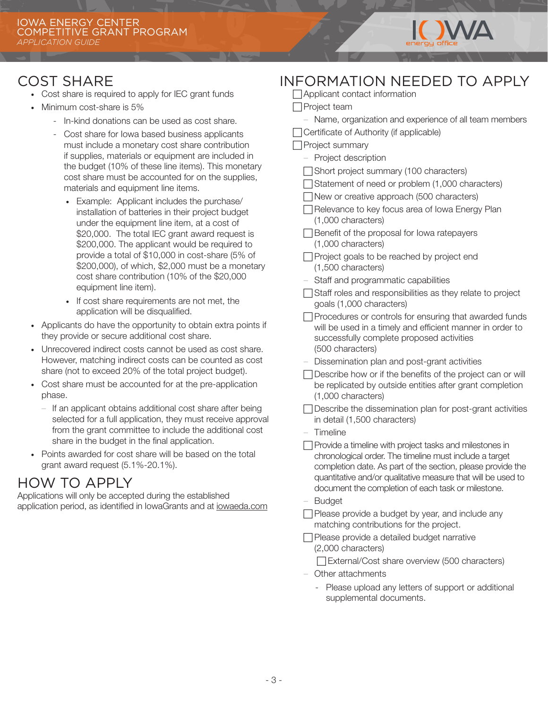

## COST SHARE

- · Cost share is required to apply for IEC grant funds
- · Minimum cost-share is 5%
	- In-kind donations can be used as cost share.
	- Cost share for Iowa based business applicants must include a monetary cost share contribution if supplies, materials or equipment are included in the budget (10% of these line items). This monetary cost share must be accounted for on the supplies, materials and equipment line items.
		- · Example: Applicant includes the purchase/ installation of batteries in their project budget under the equipment line item, at a cost of \$20,000. The total IEC grant award request is \$200,000. The applicant would be required to provide a total of \$10,000 in cost-share (5% of \$200,000), of which, \$2,000 must be a monetary cost share contribution (10% of the \$20,000 equipment line item).
		- · If cost share requirements are not met, the application will be disqualified.
- · Applicants do have the opportunity to obtain extra points if they provide or secure additional cost share.
- · Unrecovered indirect costs cannot be used as cost share. However, matching indirect costs can be counted as cost share (not to exceed 20% of the total project budget).
- · Cost share must be accounted for at the pre-application phase.
	- If an applicant obtains additional cost share after being selected for a full application, they must receive approval from the grant committee to include the additional cost share in the budget in the final application.
- Points awarded for cost share will be based on the total grant award request (5.1%-20.1%).

## HOW TO APPLY

Applications will only be accepted during the established application period, as identified in IowaGrants and at iowaeda.com

| <b>INFORMATION NEEDED TO APPLY</b>                                                                                                                                                                                                                                                                      |
|---------------------------------------------------------------------------------------------------------------------------------------------------------------------------------------------------------------------------------------------------------------------------------------------------------|
| $\Box$ Applicant contact information                                                                                                                                                                                                                                                                    |
| $\Box$ Project team                                                                                                                                                                                                                                                                                     |
| Name, organization and experience of all team members                                                                                                                                                                                                                                                   |
| Certificate of Authority (if applicable)                                                                                                                                                                                                                                                                |
| Project summary                                                                                                                                                                                                                                                                                         |
| Project description                                                                                                                                                                                                                                                                                     |
| Short project summary (100 characters)                                                                                                                                                                                                                                                                  |
| Statement of need or problem (1,000 characters)                                                                                                                                                                                                                                                         |
| New or creative approach (500 characters)                                                                                                                                                                                                                                                               |
| Relevance to key focus area of Iowa Energy Plan<br>(1,000 characters)                                                                                                                                                                                                                                   |
| $\Box$ Benefit of the proposal for lowa ratepayers<br>(1,000 characters)                                                                                                                                                                                                                                |
| □ Project goals to be reached by project end<br>(1,500 characters)                                                                                                                                                                                                                                      |
| - Staff and programmatic capabilities                                                                                                                                                                                                                                                                   |
| Staff roles and responsibilities as they relate to project<br>goals (1,000 characters)                                                                                                                                                                                                                  |
| Procedures or controls for ensuring that awarded funds<br>will be used in a timely and efficient manner in order to<br>successfully complete proposed activities<br>(500 characters)                                                                                                                    |
| - Dissemination plan and post-grant activities                                                                                                                                                                                                                                                          |
| Describe how or if the benefits of the project can or will<br>be replicated by outside entities after grant completion<br>(1,000 characters)                                                                                                                                                            |
| □ Describe the dissemination plan for post-grant activities<br>in detail (1,500 characters)                                                                                                                                                                                                             |
| $-$ Timeline                                                                                                                                                                                                                                                                                            |
| Provide a timeline with project tasks and milestones in<br>chronological order. The timeline must include a target<br>completion date. As part of the section, please provide the<br>quantitative and/or qualitative measure that will be used to<br>document the completion of each task or milestone. |
| - Budget                                                                                                                                                                                                                                                                                                |
| Please provide a budget by year, and include any<br>matching contributions for the project.                                                                                                                                                                                                             |
| Please provide a detailed budget narrative<br>(2,000 characters)                                                                                                                                                                                                                                        |
| External/Cost share overview (500 characters)                                                                                                                                                                                                                                                           |
| Other attachments                                                                                                                                                                                                                                                                                       |
| Please upload any letters of support or additional<br>$\overline{\phantom{a}}$<br>supplemental documents.                                                                                                                                                                                               |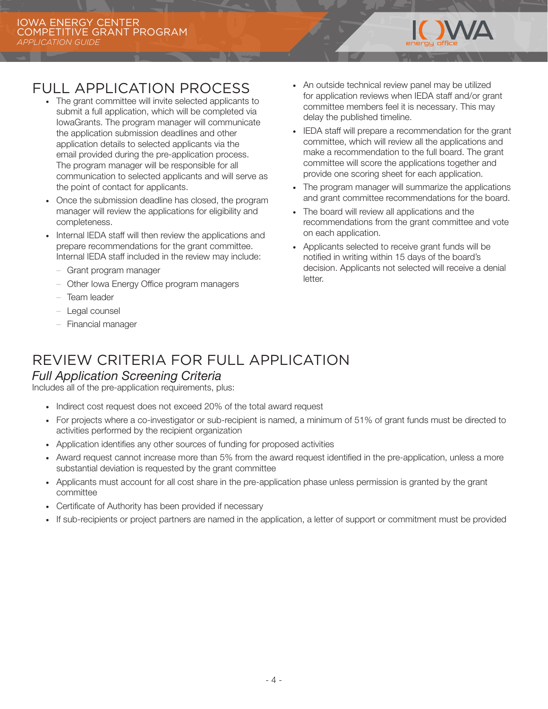

# FULL APPLICATION PROCESS

- · The grant committee will invite selected applicants to submit a full application, which will be completed via IowaGrants. The program manager will communicate the application submission deadlines and other application details to selected applicants via the email provided during the pre-application process. The program manager will be responsible for all communication to selected applicants and will serve as the point of contact for applicants.
- · Once the submission deadline has closed, the program manager will review the applications for eligibility and completeness.
- Internal IEDA staff will then review the applications and prepare recommendations for the grant committee. Internal IEDA staff included in the review may include:
	- Grant program manager
	- Other Iowa Energy Office program managers
	- Team leader
	- Legal counsel
	- Financial manager
- · An outside technical review panel may be utilized for application reviews when IEDA staff and/or grant committee members feel it is necessary. This may delay the published timeline.
- IEDA staff will prepare a recommendation for the grant committee, which will review all the applications and make a recommendation to the full board. The grant committee will score the applications together and provide one scoring sheet for each application.
- · The program manager will summarize the applications and grant committee recommendations for the board.
- · The board will review all applications and the recommendations from the grant committee and vote on each application.
- · Applicants selected to receive grant funds will be notified in writing within 15 days of the board's decision. Applicants not selected will receive a denial letter.

### REVIEW CRITERIA FOR FULL APPLICATION *Full Application Screening Criteria*

Includes all of the pre-application requirements, plus:

- · Indirect cost request does not exceed 20% of the total award request
- · For projects where a co-investigator or sub-recipient is named, a minimum of 51% of grant funds must be directed to activities performed by the recipient organization
- · Application identifies any other sources of funding for proposed activities
- · Award request cannot increase more than 5% from the award request identified in the pre-application, unless a more substantial deviation is requested by the grant committee
- · Applicants must account for all cost share in the pre-application phase unless permission is granted by the grant committee
- · Certificate of Authority has been provided if necessary
- · If sub-recipients or project partners are named in the application, a letter of support or commitment must be provided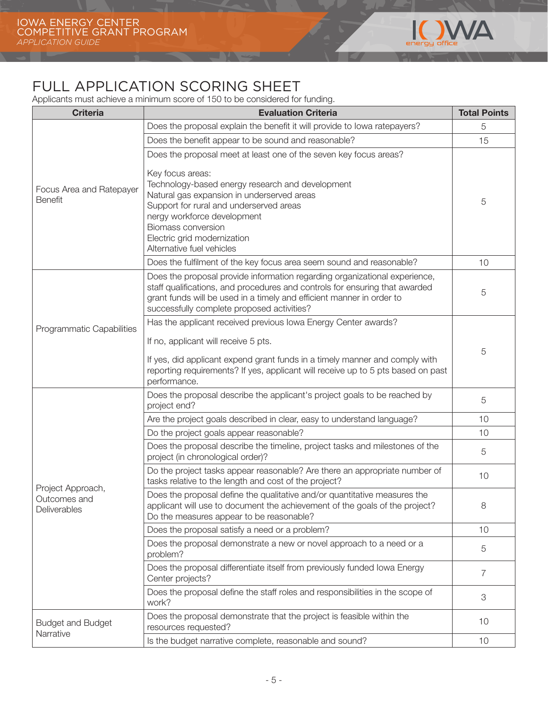

# FULL APPLICATION SCORING SHEET

Applicants must achieve a minimum score of 150 to be considered for funding.

| <b>Criteria</b>                                   | <b>Evaluation Criteria</b>                                                                                                                                                                                                                                                       | <b>Total Points</b> |
|---------------------------------------------------|----------------------------------------------------------------------------------------------------------------------------------------------------------------------------------------------------------------------------------------------------------------------------------|---------------------|
| Focus Area and Ratepayer<br><b>Benefit</b>        | Does the proposal explain the benefit it will provide to lowa ratepayers?                                                                                                                                                                                                        | 5                   |
|                                                   | Does the benefit appear to be sound and reasonable?                                                                                                                                                                                                                              | 15                  |
|                                                   | Does the proposal meet at least one of the seven key focus areas?<br>Key focus areas:                                                                                                                                                                                            | 5                   |
|                                                   | Technology-based energy research and development<br>Natural gas expansion in underserved areas<br>Support for rural and underserved areas<br>nergy workforce development<br>Biomass conversion<br>Electric grid modernization<br>Alternative fuel vehicles                       |                     |
|                                                   | Does the fulfilment of the key focus area seem sound and reasonable?                                                                                                                                                                                                             | 10                  |
|                                                   | Does the proposal provide information regarding organizational experience,<br>staff qualifications, and procedures and controls for ensuring that awarded<br>grant funds will be used in a timely and efficient manner in order to<br>successfully complete proposed activities? | 5                   |
| Programmatic Capabilities                         | Has the applicant received previous Iowa Energy Center awards?                                                                                                                                                                                                                   | 5                   |
|                                                   | If no, applicant will receive 5 pts.                                                                                                                                                                                                                                             |                     |
|                                                   | If yes, did applicant expend grant funds in a timely manner and comply with<br>reporting requirements? If yes, applicant will receive up to 5 pts based on past<br>performance.                                                                                                  |                     |
|                                                   | Does the proposal describe the applicant's project goals to be reached by<br>project end?                                                                                                                                                                                        | 5                   |
|                                                   | Are the project goals described in clear, easy to understand language?                                                                                                                                                                                                           | 10                  |
| Project Approach,<br>Outcomes and<br>Deliverables | Do the project goals appear reasonable?                                                                                                                                                                                                                                          | 10                  |
|                                                   | Does the proposal describe the timeline, project tasks and milestones of the<br>project (in chronological order)?                                                                                                                                                                | 5                   |
|                                                   | Do the project tasks appear reasonable? Are there an appropriate number of<br>tasks relative to the length and cost of the project?                                                                                                                                              | 10                  |
|                                                   | Does the proposal define the qualitative and/or quantitative measures the<br>applicant will use to document the achievement of the goals of the project?<br>Do the measures appear to be reasonable?                                                                             | 8                   |
|                                                   | Does the proposal satisfy a need or a problem?                                                                                                                                                                                                                                   | 10                  |
|                                                   | Does the proposal demonstrate a new or novel approach to a need or a<br>problem?                                                                                                                                                                                                 | 5                   |
|                                                   | Does the proposal differentiate itself from previously funded Iowa Energy<br>Center projects?                                                                                                                                                                                    | 7                   |
|                                                   | Does the proposal define the staff roles and responsibilities in the scope of<br>work?                                                                                                                                                                                           | 3                   |
| <b>Budget and Budget</b>                          | Does the proposal demonstrate that the project is feasible within the<br>resources requested?                                                                                                                                                                                    | 10                  |
| Narrative                                         | Is the budget narrative complete, reasonable and sound?                                                                                                                                                                                                                          | 10                  |